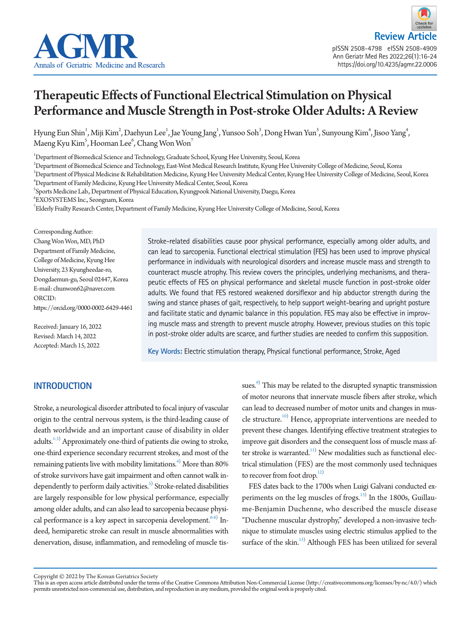



# Therapeutic Effects of Functional Electrical Stimulation on Physical Performance and Muscle Strength in Post-stroke Older Adults: A Review

Hyung Eun Shin $^1$ , Miji Kim $^2$ , Daehyun Lee $^1$ , Jae Young Jang $^1$ , Yunsoo Soh $^3$ , Dong Hwan Yun $^3$ , Sunyoung Kim $^4$ , Jisoo Yang $^4$ , Maeng Kyu Kim $^5$ , Hooman Lee $^6$ , Chang Won Won $^7$ 

1 Department of Biomedical Science and Technology, Graduate School, Kyung Hee University, Seoul, Korea

 $^2$ Department of Biomedical Science and Technology, East-West Medical Research Institute, Kyung Hee University College of Medicine, Seoul, Korea

3 Department of Physical Medicine & Rehabilitation Medicine, Kyung Hee University Medical Center, Kyung Hee University College of Medicine, Seoul, Korea 4 Department of Family Medicine, Kyung Hee University Medical Center, Seoul, Korea

5 Sports Medicine Lab., Department of Physical Education, Kyungpook National University, Daegu, Korea

6 EXOSYSTEMS Inc., Seongnam, Korea

 $^7$ Elderly Frailty Research Center, Department of Family Medicine, Kyung Hee University College of Medicine, Seoul, Korea

Corresponding Author: Chang Won Won, MD, PhD Department of Family Medicine, College of Medicine, Kyung Hee University, 23 Kyungheedae-ro, Dongdaemun-gu, Seoul 02447, Korea E-mail: chunwon62@naver.com ORCID: https://orcid.org/0000-0002-6429-4461

Received: January 16, 2022 Revised: March 14, 2022 Accepted: March 15, 2022

Stroke-related disabilities cause poor physical performance, especially among older adults, and can lead to sarcopenia. Functional electrical stimulation (FES) has been used to improve physical performance in individuals with neurological disorders and increase muscle mass and strength to counteract muscle atrophy. This review covers the principles, underlying mechanisms, and therapeutic effects of FES on physical performance and skeletal muscle function in post-stroke older adults. We found that FES restored weakened dorsiflexor and hip abductor strength during the swing and stance phases of gait, respectively, to help support weight-bearing and upright posture and facilitate static and dynamic balance in this population. FES may also be effective in improving muscle mass and strength to prevent muscle atrophy. However, previous studies on this topic in post-stroke older adults are scarce, and further studies are needed to confirm this supposition.

**Key Words:** Electric stimulation therapy, Physical functional performance, Stroke, Aged

## **INTRODUCTION**

Stroke, a neurological disorder attributed to focal injury of vascular origin to the central nervous system, is the third-leading cause of death worldwide and an important cause of disability in older adults.<sup>[1](#page-5-0)[-3](#page-6-0))</sup> Approximately one-third of patients die owing to stroke, one-third experience secondary recurrent strokes, and most of the remaining patients live with mobility limitations. $^{4)}$  More than 80% of stroke survivors have gait impairment and often cannot walk independently to perform daily activities.<sup>5)</sup> Stroke-related disabilities are largely responsible for low physical performance, especially among older adults, and can also lead to sarcopenia because physi-cal performance is a key aspect in sarcopenia development.<sup>[6-](#page-6-3)[8](#page-6-4))</sup> Indeed, hemiparetic stroke can result in muscle abnormalities with denervation, disuse, inflammation, and remodeling of muscle tis-

sues.<sup>9)</sup> This may be related to the disrupted synaptic transmission of motor neurons that innervate muscle fibers after stroke, which can lead to decreased number of motor units and changes in mus-cle structure.<sup>[10](#page-6-6))</sup> Hence, appropriate interventions are needed to prevent these changes. Identifying effective treatment strategies to improve gait disorders and the consequent loss of muscle mass after stroke is warranted. $11)$  New modalities such as functional electrical stimulation (FES) are the most commonly used techniques to recover from foot drop. $12)$  $12)$ 

FES dates back to the 1700s when Luigi Galvani conducted ex-periments on the leg muscles of frogs.<sup>[13](#page-6-6))</sup> In the 1800s, Guillaume-Benjamin Duchenne, who described the muscle disease "Duchenne muscular dystrophy," developed a non-invasive technique to stimulate muscles using electric stimulus applied to the surface of the skin.<sup>13)</sup> Although FES has been utilized for several

Copyright © 2022 by The Korean Geriatrics Society<br>This is an open access article distributed under the terms of the Creative Commons Attribution Non-Commercial License (http://creativecommons.org/licenses/by-nc/4.0/) which permits unrestricted non-commercial use, distribution, and reproduction in any medium, provided the original work is properly cited.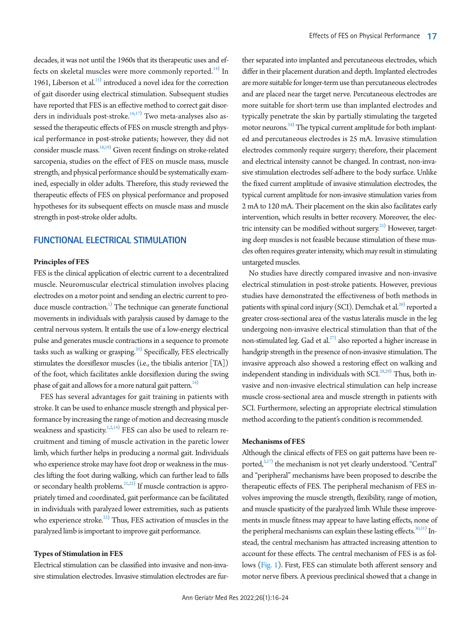decades, it was not until the 1960s that its therapeutic uses and ef-fects on skeletal muscles were more commonly reported.<sup>[14](#page-6-7))</sup> In 1961, Liberson et al. $15$ ) introduced a novel idea for the correction of gait disorder using electrical stimulation. Subsequent studies have reported that FES is an effective method to correct gait disor-ders in individuals post-stroke.<sup>[16,](#page-6-10)[17](#page-6-11))</sup> Two meta-analyses also assessed the therapeutic effects of FES on muscle strength and physical performance in post-stroke patients; however, they did not consider muscle mass.<sup>18[,19](#page-6-13))</sup> Given recent findings on stroke-related sarcopenia, studies on the effect of FES on muscle mass, muscle strength, and physical performance should be systematically examined, especially in older adults. Therefore, this study reviewed the therapeutic effects of FES on physical performance and proposed hypotheses for its subsequent effects on muscle mass and muscle strength in post-stroke older adults.

## **FUNCTIONAL ELECTRICAL STIMULATION**

#### **Principles of FES**

FES is the clinical application of electric current to a decentralized muscle. Neuromuscular electrical stimulation involves placing electrodes on a motor point and sending an electric current to produce muscle contraction.<sup>1)</sup> The technique can generate functional movements in individuals with paralysis caused by damage to the central nervous system. It entails the use of a low-energy electrical pulse and generates muscle contractions in a sequence to promote tasks such as walking or grasping.<sup>20)</sup> Specifically, FES electrically stimulates the dorsiflexor muscles (i.e., the tibialis anterior [TA]) of the foot, which facilitates ankle dorsiflexion during the swing phase of gait and allows for a more natural gait pattern.<sup>14)</sup>

FES has several advantages for gait training in patients with stroke. It can be used to enhance muscle strength and physical performance by increasing the range of motion and decreasing muscle weakness and spasticity.<sup>1[,2](#page-5-1)[,14](#page-6-7))</sup> FES can also be used to relearn recruitment and timing of muscle activation in the paretic lower limb, which further helps in producing a normal gait. Individuals who experience stroke may have foot drop or weakness in the muscles lifting the foot during walking, which can further lead to falls or secondary health problems.<sup>21,22</sup>) If muscle contraction is appropriately timed and coordinated, gait performance can be facilitated in individuals with paralyzed lower extremities, such as patients who experience stroke. $^{23)}$  Thus, FES activation of muscles in the paralyzed limb is important to improve gait performance.

#### **Types of Stimulation in FES**

Electrical stimulation can be classified into invasive and non-invasive stimulation electrodes. Invasive stimulation electrodes are fur-

ther separated into implanted and percutaneous electrodes, which differ in their placement duration and depth. Implanted electrodes are more suitable for longer-term use than percutaneous electrodes and are placed near the target nerve. Percutaneous electrodes are more suitable for short-term use than implanted electrodes and typically penetrate the skin by partially stimulating the targeted motor neurons.<sup>24)</sup> The typical current amplitude for both implanted and percutaneous electrodes is 25 mA. Invasive stimulation electrodes commonly require surgery; therefore, their placement and electrical intensity cannot be changed. In contrast, non-invasive stimulation electrodes self-adhere to the body surface. Unlike the fixed current amplitude of invasive stimulation electrodes, the typical current amplitude for non-invasive stimulation varies from 2 mA to 120 mA. Their placement on the skin also facilitates early intervention, which results in better recovery. Moreover, the electric intensity can be modified without surgery.<sup>25)</sup> However, targeting deep muscles is not feasible because stimulation of these muscles often requires greater intensity, which may result in stimulating untargeted muscles.

No studies have directly compared invasive and non-invasive electrical stimulation in post-stroke patients. However, previous studies have demonstrated the effectiveness of both methods in patients with spinal cord injury (SCI). Demchak et al.<sup>26)</sup> reported a greater cross-sectional area of the vastus lateralis muscle in the leg undergoing non-invasive electrical stimulation than that of the non-stimulated leg. Gad et al.<sup>27)</sup> also reported a higher increase in handgrip strength in the presence of non-invasive stimulation. The invasive approach also showed a restoring effect on walking and independent standing in individuals with SCI.<sup>[28](#page-6-22)[,29](#page-7-0))</sup> Thus, both invasive and non-invasive electrical stimulation can help increase muscle cross-sectional area and muscle strength in patients with SCI. Furthermore, selecting an appropriate electrical stimulation method according to the patient's condition is recommended.

#### **Mechanisms of FES**

Although the clinical effects of FES on gait patterns have been reported,<sup>2,17)</sup> the mechanism is not yet clearly understood. "Central" and "peripheral" mechanisms have been proposed to describe the therapeutic effects of FES. The peripheral mechanism of FES involves improving the muscle strength, flexibility, range of motion, and muscle spasticity of the paralyzed limb. While these improvements in muscle fitness may appear to have lasting effects, none of the peripheral mechanisms can explain these lasting effects. $30,31$  $30,31$  Instead, the central mechanism has attracted increasing attention to account for these effects. The central mechanism of FES is as follows [\(Fig. 1](#page-2-0)). First, FES can stimulate both afferent sensory and motor nerve fibers. A previous preclinical showed that a change in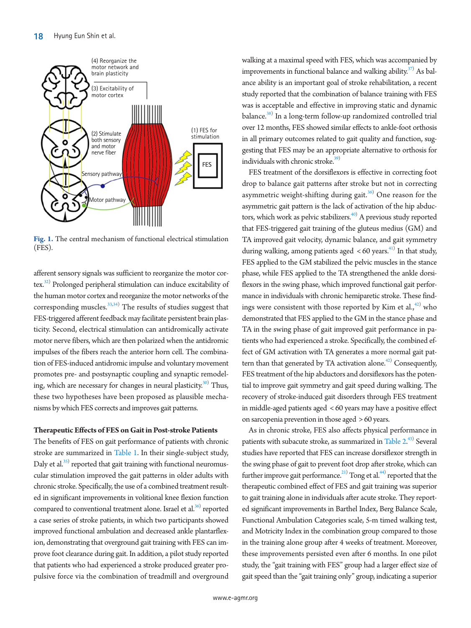<span id="page-2-0"></span>

**Fig. 1.** The central mechanism of functional electrical stimulation (FES).

afferent sensory signals was sufficient to reorganize the motor cor-tex.<sup>[32](#page-7-2))</sup> Prolonged peripheral stimulation can induce excitability of the human motor cortex and reorganize the motor networks of the corresponding muscles.<sup>[33](#page-7-3)[,34\)](#page-7-4)</sup> The results of studies suggest that FES-triggered afferent feedback may facilitate persistent brain plasticity. Second, electrical stimulation can antidromically activate motor nerve fibers, which are then polarized when the antidromic impulses of the fibers reach the anterior horn cell. The combination of FES-induced antidromic impulse and voluntary movement promotes pre- and postsynaptic coupling and synaptic remodeling, which are necessary for changes in neural plasticity.<sup>30)</sup> Thus, these two hypotheses have been proposed as plausible mechanisms by which FES corrects and improves gait patterns.

#### **Therapeutic Effects of FES on Gait in Post-stroke Patients**

The benefits of FES on gait performance of patients with chronic stroke are summarized in [Table 1.](#page-3-0) In their single-subject study, Daly et al. $^{35)}$  reported that gait training with functional neuromuscular stimulation improved the gait patterns in older adults with chronic stroke. Specifically, the use of a combined treatment resulted in significant improvements in volitional knee flexion function compared to conventional treatment alone. Israel et al.<sup>36)</sup> reported a case series of stroke patients, in which two participants showed improved functional ambulation and decreased ankle plantarflexion, demonstrating that overground gait training with FES can improve foot clearance during gait. In addition, a pilot study reported that patients who had experienced a stroke produced greater propulsive force via the combination of treadmill and overground

walking at a maximal speed with FES, which was accompanied by improvements in functional balance and walking ability. $37$ ) As balance ability is an important goal of stroke rehabilitation, a recent study reported that the combination of balance training with FES was is acceptable and effective in improving static and dynamic balance.<sup>38)</sup> In a long-term follow-up randomized controlled trial over 12 months, FES showed similar effects to ankle-foot orthosis in all primary outcomes related to gait quality and function, suggesting that FES may be an appropriate alternative to orthosis for individuals with chronic stroke. $39)$ 

FES treatment of the dorsiflexors is effective in correcting foot drop to balance gait patterns after stroke but not in correcting asymmetric weight-shifting during gait.<sup>[36\)](#page-7-2)</sup> One reason for the asymmetric gait pattern is the lack of activation of the hip abductors, which work as pelvic stabilizers.<sup>40)</sup> A previous study reported that FES-triggered gait training of the gluteus medius (GM) and TA improved gait velocity, dynamic balance, and gait symmetry during walking, among patients aged  $< 60$  years.<sup>[41](#page-7-10))</sup> In that study, FES applied to the GM stabilized the pelvic muscles in the stance phase, while FES applied to the TA strengthened the ankle dorsiflexors in the swing phase, which improved functional gait performance in individuals with chronic hemiparetic stroke. These findings were consistent with those reported by Kim et al., $42)$  $42)$  who demonstrated that FES applied to the GM in the stance phase and TA in the swing phase of gait improved gait performance in patients who had experienced a stroke. Specifically, the combined effect of GM activation with TA generates a more normal gait pattern than that generated by TA activation alone.<sup> $42)$  $42)$ </sup> Consequently, FES treatment of the hip abductors and dorsiflexors has the potential to improve gait symmetry and gait speed during walking. The recovery of stroke-induced gait disorders through FES treatment in middle-aged patients aged < 60 years may have a positive effect on sarcopenia prevention in those aged > 60 years.

As in chronic stroke, FES also affects physical performance in patients with subacute stroke, as summarized in [Table 2.](#page-4-0)<sup>[43](#page-7-11))</sup> Several studies have reported that FES can increase dorsiflexor strength in the swing phase of gait to prevent foot drop after stroke, which can further improve gait performance.<sup>21</sup> Tong et al.<sup>44</sup> reported that the therapeutic combined effect of FES and gait training was superior to gait training alone in individuals after acute stroke. They reported significant improvements in Barthel Index, Berg Balance Scale, Functional Ambulation Categories scale, 5-m timed walking test, and Motricity Index in the combination group compared to those in the training alone group after 4 weeks of treatment. Moreover, these improvements persisted even after 6 months. In one pilot study, the "gait training with FES" group had a larger effect size of gait speed than the "gait training only" group, indicating a superior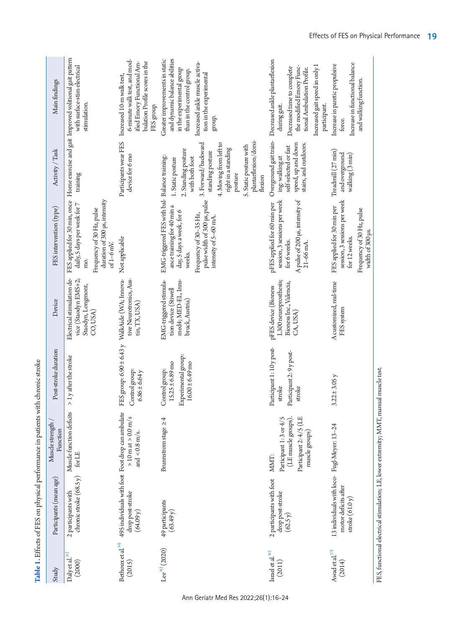| Study                                 | Participants (mean age)                                                                  | Muscle strength<br>Function                                                                        | Post-stroke duration                                                                        | Device                                                                                   | FES intervention (type)                                                                                                                                                                              | Activity / Task                                                                                                                                                                                                                 | Main findings                                                                                                                                                                                                  |
|---------------------------------------|------------------------------------------------------------------------------------------|----------------------------------------------------------------------------------------------------|---------------------------------------------------------------------------------------------|------------------------------------------------------------------------------------------|------------------------------------------------------------------------------------------------------------------------------------------------------------------------------------------------------|---------------------------------------------------------------------------------------------------------------------------------------------------------------------------------------------------------------------------------|----------------------------------------------------------------------------------------------------------------------------------------------------------------------------------------------------------------|
| Daly et al. <sup>35)</sup><br>(2000)  | chronic stroke $(68.5 y)$<br>2 participants with                                         | Muscle function deficits<br>for LE                                                                 | > 1 y after the stroke                                                                      | Electrical stimulation de-<br>vice (Staodyn EMS+2;<br>Staodyn, Longmont,<br>CO, USA)     | duration of 300 µs, intensity<br>FES applied for 30 min, once<br>daily, S days per week for 7<br>Frequency of 30 Hz, pulse<br>$of 1-6$ mV.<br>mo.                                                    | training                                                                                                                                                                                                                        | Home exercise and gait Improved volitional gait pattern<br>with surface-stim electrical<br>stimulation.                                                                                                        |
| Be<br>thoux et al. $^{39)}$<br>(2015) | 495 individuals with foot Foot drop can ambulate<br>drop post-stroke<br>(64.09 y)        | $>10\,\mathrm{m}$ at $>0.0\,\mathrm{m/s}$<br>and $<0.8\,\mathrm{m/s}.$                             | FES group: 6.90 ± 6.43 y WalkAide (WA; Innova-<br>Control group:<br>$6.86 \pm 6.64$ y       | tive Neurotronics, Aus-<br>tin, TX, USA)                                                 | Not applicable                                                                                                                                                                                       | Participants wear FES<br>device for 6 mo                                                                                                                                                                                        | 6-minute walk test, and mod-<br>bulation Profile scores in the<br>ified Emory Functional Am-<br>Increased 10-m walk test,<br>FES group.                                                                        |
| $Lee^{38)}(2020)$                     | 49 participants<br>(63.49y)                                                              | Brunnstrom stage $\geq 4$                                                                          | Experimental group:<br>$15.25 \pm 6.89 \text{ mo}$<br>$16.00 \pm 6.49$ mo<br>Control group: | EMG-triggered stimula-<br>med4; MED-EL, Inns-<br>tion device (Stiwell<br>bruck, Austria) | EMG-triggered FES with bal-Balance training:<br>pulse width of 300 µs, pulse<br>ance training for 40 min a<br>day, 5 days a week, for 6<br>Frequency of 30-35 Hz,<br>intensity of 5-60 mA.<br>weeks. | plantarflexion/dorsi-<br>4. Moving from left to<br>3. Forward/backward<br>5. Static posture with<br>right in a standing<br>2. Standing posture<br>standing posture<br>with both foot<br>1. Static posture<br>posture<br>flexion | and dynamic balance abilities<br>Greater improvements in static<br>Increased ankle muscle activa-<br>in the experimental group<br>than in the control group.<br>tion in the experimental<br>group.             |
| Israel et al. $^{\rm 36)}$<br>(2011)  | 2 participants with foot<br>drop post-stroke<br>(62.5 y)                                 | Participant 2: 4/5 (LE<br>Participant 1: 3 or 4/5<br>(LE muscle groups).<br>muscle groups)<br>MMT: | Participant 1: 10 y post-<br>Participant 2: 9 y post-<br>stroke<br>stroke                   | L300 neuroprosthesis;<br>Bioness Inc., Valencia,<br>pFES device (Bioness<br>CA, USA)     | session, 3 sessions per week<br>A pulse of 200 µs, intensity of<br>pFES applied for 60 min per<br>for 6 weeks.<br>$21-66$ mA                                                                         | speed, up and down<br>stairs, and outdoors.<br>self-selected or fast<br>ing: walking at                                                                                                                                         | Overground gait train-Decreased ankle plantarflexion<br>Increased gait speed in only 1<br>the modified Emory Func-<br>Decreased time to complete<br>tional Ambulation Profile.<br>participant.<br>during gait. |
| Awad et al. $^{37)}$<br>(2014)        | 13 individuals with loco- Fugl-Meyer: 13-24<br>motor deficits after<br>stroke $(61.0 y)$ |                                                                                                    | $3.22 \pm 3.05$ y                                                                           | A customized, real-time<br>FES system                                                    | session, 3 sessions per week<br>FES applied for 30 min per<br>Frequency of 30 Hz, pulse<br>width of 300 µs.<br>for 12 weeks.                                                                         | Treadmill (27 min)<br>and overground<br>walking (3 min)                                                                                                                                                                         | Increase in functional balance<br>Increase in paretic propulsive<br>and walking function.<br>force.                                                                                                            |
|                                       | FES, functional electrical stimulation; LE, lower extremity; MMT, manual muscle test.    |                                                                                                    |                                                                                             |                                                                                          |                                                                                                                                                                                                      |                                                                                                                                                                                                                                 |                                                                                                                                                                                                                |

<span id="page-3-0"></span>

Effects of FES on Physical Performance 19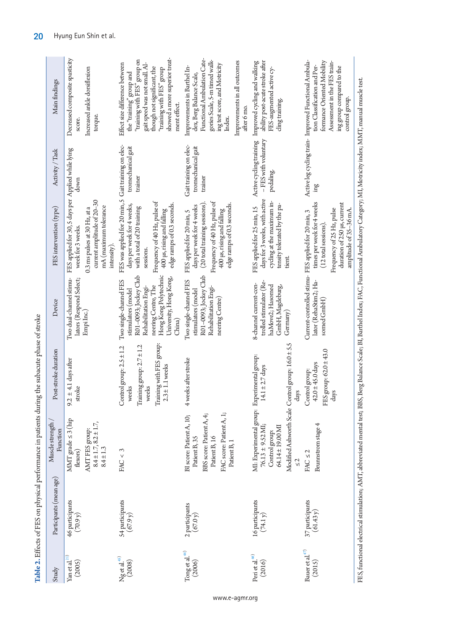<span id="page-4-0"></span>

| ı                                                                                                                                                                                                                                    |
|--------------------------------------------------------------------------------------------------------------------------------------------------------------------------------------------------------------------------------------|
|                                                                                                                                                                                                                                      |
|                                                                                                                                                                                                                                      |
|                                                                                                                                                                                                                                      |
|                                                                                                                                                                                                                                      |
|                                                                                                                                                                                                                                      |
|                                                                                                                                                                                                                                      |
|                                                                                                                                                                                                                                      |
| ł                                                                                                                                                                                                                                    |
|                                                                                                                                                                                                                                      |
|                                                                                                                                                                                                                                      |
|                                                                                                                                                                                                                                      |
| ı                                                                                                                                                                                                                                    |
|                                                                                                                                                                                                                                      |
| <b>Continued in the continued of the continued in the continued in the continued in the continued in the continued in the continued in the continued in the continued in the continued in the continued in the continued in the </b> |
| $\sim$ $\sim$ $\sim$                                                                                                                                                                                                                 |
| $\frac{1}{1}$                                                                                                                                                                                                                        |
|                                                                                                                                                                                                                                      |
|                                                                                                                                                                                                                                      |
|                                                                                                                                                                                                                                      |
|                                                                                                                                                                                                                                      |
| יהות הוא היה                                                                                                                                                                                                                         |
|                                                                                                                                                                                                                                      |

| Study                                              | Participants (mean age)        | Muscle strength<br>Function                                                                                                                                                                  | Post-stroke duration                                                                                                               | Device                                                                                                                                                                            | FES intervention (type)                                                                                                                                                                              | Activity / Task                                              | Main findings                                                                                                                                                                                                                            |
|----------------------------------------------------|--------------------------------|----------------------------------------------------------------------------------------------------------------------------------------------------------------------------------------------|------------------------------------------------------------------------------------------------------------------------------------|-----------------------------------------------------------------------------------------------------------------------------------------------------------------------------------|------------------------------------------------------------------------------------------------------------------------------------------------------------------------------------------------------|--------------------------------------------------------------|------------------------------------------------------------------------------------------------------------------------------------------------------------------------------------------------------------------------------------------|
| Yan et al. $^{\rm 21)}$<br>(2005)                  | 46 participants<br>$(70.9 y)$  | $\begin{array}{l} \mbox{MMT grade} \leq 3 \mbox{ (hip} \\ \mbox{flaxors)} \end{array}$<br>$8.4 \pm 1.7, 8.2 \pm 1.7$ ,<br>AMT FES group:<br>$8.4 \pm 1.3$                                    | $9.2 \pm 4.1$ days after<br>stroke                                                                                                 | Two dual-channel stimu-<br>lators (Respond Select;<br>Empi Inc.)                                                                                                                  | FES applied for 30, 5 days per Applied while lying<br>current amplitude of 20-30<br>mA (maximum tolerance<br>0.3 ms pulses at 30 Hz, at a<br>week for 3 weeks.<br>intensity)                         | down                                                         | Decreased composite spasticity<br>Increased ankle dorsiflexion<br>torque<br>score                                                                                                                                                        |
| $\rm Mg$ et al. $^{\rm 45)}$<br>(2008)             | 54 participants<br>$(67.9 y)$  | FAC < 3                                                                                                                                                                                      | Training with FES group:<br>Training group: $2.7 \pm 1.2$<br>Control group: $2.5 \pm 1.2$<br>$2.3 \pm 1.1$ weeks<br>weeks<br>weeks | R01-0093; Jockey Club<br>Hong Kong Polytechnic<br>University, Hong Kong,<br>Two single-channel FES<br>neering Centre, The<br>Rehabilitation Engi-<br>stimulators (model<br>China) | FES was applied for 20 min, 5<br>Frequency of 40 Hz, pulse of<br>edge ramps of 0.3 seconds.<br>days per week for 4 weeks,<br>with a total of 20 training<br>400 µs, rising and falling<br>sessions.  | Gait training on elec-<br>tromechanical gait<br>trainer      | showed a more superior treat-<br>"training with FES" group on<br>gait speed was not small. Al-<br>Effect size difference between<br>though not significant, the<br>"training with FES" group<br>the "training" group and<br>ment effect. |
| $\operatorname{Tong}$ et al.<br>$^{44)}$<br>(2006) | 2 participants<br>(67.0 y)     | FAC score: Patient A, 1;<br>BBS score: Patient A, 4;<br>BI score: Patient A, 10;<br>Patient B, 16<br>Patient B, 35<br>Patient B, 1                                                           | 4 weeks after stroke                                                                                                               | R01-0093; Jockey Club<br>Two single-channel FES<br>Rehabilitation Engi-<br>stimulators (model<br>neering Centre)                                                                  | Frequency of 40 Hz, pulse of<br>(20 total training sessions)<br>edge ramps of 0.3 seconds.<br>days per week for 4 weeks<br>400 µs, rising and falling<br>FES applied for 20 min, 5                   | Gait training on elec-<br>tromechanical gait<br>trainer      | Functional Ambulation Cate-<br>gories Scale, 5-m timed walk-<br>Improvements in all outcomes<br>ing test score, and Motricity<br>Improvements in Barthel In-<br>dex, Berg Balance Scale,<br>atter 6 mo.<br>Index                         |
| Peri et al. $^{46)}$<br>(2016)                     | 16 participants<br>(74.1 y)    | MI: Experimental group:<br>Modified Ashworth Scale<br>$76.13 \pm 9.52 \text{ MJ};$<br>$\begin{array}{c} \text{Control group:}\\ \text{64.14} \pm 19.00 \, \text{MI} \end{array}$<br>$\leq 2$ | Control group: $16.0 \pm 5.5$<br>Experimental group:<br>$14.1 \pm 2.7 \text{ days}$<br>days                                        | trolled stimulator (Re-<br>8-channel current-con-<br>haMove2; Hasomed<br>GmbH, Magdeburg,<br>Germany                                                                              | days for 3 weeks, with active<br>cycling at the maximum in-<br>tensity tolerated by the pa-<br>FES applied for 25 min, 15<br>tient                                                                   | Active cycling training<br>- FES with voluntary<br>pedaling. | ability post-acute stroke after<br>Improved cycling and walking<br>FES-augmented active cy-<br>cling training.                                                                                                                           |
| Bauer et al. $^{47)}$<br>(2015)                    | 37 participants<br>$(61.43 y)$ | Brunnstrom stage 4<br>$FAC \leq 2$                                                                                                                                                           | FES group: 62.0 ± 43.0<br>$42.0 \pm 45.0 \text{ days}$<br>Control group:<br>days                                                   | Current-controlled stimu- FES applied for 20 min, 3<br>lator (RehaStim2; Ha-<br>somed GmbH                                                                                        | times per week for 4 weeks<br>duration of 250 µs, current<br>Frequency of 25 Hz, pulse<br>amplitude of 35-36 mA.<br>(12 total sessions)                                                              | ing                                                          | Active leg cycling train- Improved Functional Ambula-<br>formance Oriented Mobility<br>Assessment in the FES train-<br>tion Classification and Per-<br>ing group compared to the<br>control group                                        |
|                                                    |                                |                                                                                                                                                                                              |                                                                                                                                    |                                                                                                                                                                                   | FES, functional electrical stimulation; AMT, abbreviated mental test; BBS, Berg Balance Scale; BJ, Barthel Index; FAC, Functional Ambulatory Category; MJ, Motricity index; MMT, manual muscle test. |                                                              |                                                                                                                                                                                                                                          |

20 Hyung Eun Shin et al.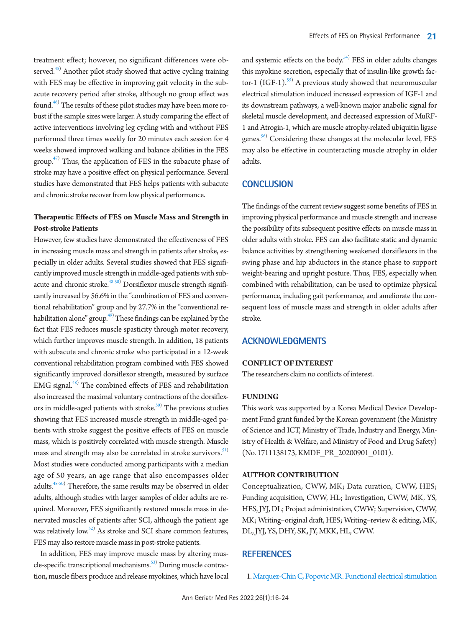treatment effect; however, no significant differences were observed.<sup>45)</sup> Another pilot study showed that active cycling training with FES may be effective in improving gait velocity in the subacute recovery period after stroke, although no group effect was found.<sup>46)</sup> The results of these pilot studies may have been more robust if the sample sizes were larger. A study comparing the effect of active interventions involving leg cycling with and without FES performed three times weekly for 20 minutes each session for 4 weeks showed improved walking and balance abilities in the FES group. $47)$  Thus, the application of FES in the subacute phase of stroke may have a positive effect on physical performance. Several studies have demonstrated that FES helps patients with subacute and chronic stroke recover from low physical performance.

## **Therapeutic Effects of FES on Muscle Mass and Strength in Post-stroke Patients**

However, few studies have demonstrated the effectiveness of FES in increasing muscle mass and strength in patients after stroke, especially in older adults. Several studies showed that FES significantly improved muscle strength in middle-aged patients with subacute and chronic stroke. $^{48\text{-}50)}$  $^{48\text{-}50)}$  $^{48\text{-}50)}$  Dorsiflexor muscle strength significantly increased by 56.6% in the "combination of FES and conventional rehabilitation" group and by 27.7% in the "conventional rehabilitation alone" group.<sup>49)</sup> These findings can be explained by the fact that FES reduces muscle spasticity through motor recovery, which further improves muscle strength. In addition, 18 patients with subacute and chronic stroke who participated in a 12-week conventional rehabilitation program combined with FES showed significantly improved dorsiflexor strength, measured by surface EMG signal.<sup>[48](#page-7-17))</sup> The combined effects of FES and rehabilitation also increased the maximal voluntary contractions of the dorsiflex-ors in middle-aged patients with stroke.<sup>[50](#page-7-16))</sup> The previous studies showing that FES increased muscle strength in middle-aged patients with stroke suggest the positive effects of FES on muscle mass, which is positively correlated with muscle strength. Muscle mass and strength may also be correlated in stroke survivors.<sup>[51\)](#page-7-19)</sup> Most studies were conducted among participants with a median age of 50 years, an age range that also encompasses older adults.<sup>48[-50](#page-7-20))</sup> Therefore, the same results may be observed in older adults, although studies with larger samples of older adults are required. Moreover, FES significantly restored muscle mass in denervated muscles of patients after SCI, although the patient age was relatively low.<sup>52)</sup> As stroke and SCI share common features, FES may also restore muscle mass in post-stroke patients.

In addition, FES may improve muscle mass by altering mus-cle-specific transcriptional mechanisms.<sup>[53](#page-7-22))</sup> During muscle contraction, muscle fibers produce and release myokines, which have local

and systemic effects on the body.<sup>54)</sup> FES in older adults changes this myokine secretion, especially that of insulin-like growth fac-tor-1 (IGF-1).<sup>[55](#page-8-1))</sup> A previous study showed that neuromuscular electrical stimulation induced increased expression of IGF-1 and its downstream pathways, a well-known major anabolic signal for skeletal muscle development, and decreased expression of MuRF-1 and Atrogin-1, which are muscle atrophy-related ubiquitin ligase genes.<sup>56)</sup> Considering these changes at the molecular level, FES may also be effective in counteracting muscle atrophy in older adults.

# **CONCLUSION**

The findings of the current review suggest some benefits of FES in improving physical performance and muscle strength and increase the possibility of its subsequent positive effects on muscle mass in older adults with stroke. FES can also facilitate static and dynamic balance activities by strengthening weakened dorsiflexors in the swing phase and hip abductors in the stance phase to support weight-bearing and upright posture. Thus, FES, especially when combined with rehabilitation, can be used to optimize physical performance, including gait performance, and ameliorate the consequent loss of muscle mass and strength in older adults after stroke.

## **ACKNOWLEDGMENTS**

#### **CONFLICT OF INTEREST**

The researchers claim no conflicts of interest.

## **FUNDING**

This work was supported by a Korea Medical Device Development Fund grant funded by the Korean government (the Ministry of Science and ICT, Ministry of Trade, Industry and Energy, Ministry of Health & Welfare, and Ministry of Food and Drug Safety) (No. 1711138173, KMDF\_PR\_20200901\_0101).

#### **AUTHOR CONTRIBUTION**

<span id="page-5-1"></span><span id="page-5-0"></span>Conceptualization, CWW, MK; Data curation, CWW, HES; Funding acquisition, CWW, HL; Investigation, CWW, MK, YS, HES, JYJ, DL; Project administration, CWW; Supervision, CWW, MK; Writing–original draft, HES; Writing–review & editing, MK, DL, JYJ, YS, DHY, SK, JY, MKK, HL, CWW.

# **REFERENCES**

1. [Marquez-Chin C, Popovic MR. Functional electrical stimulation](https://doi.org/10.1186/s12938-020-00773-4)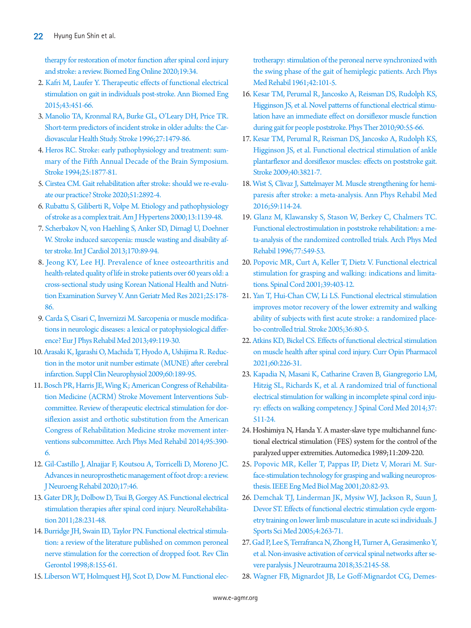[therapy for restoration of motor function after spinal cord injury](https://doi.org/10.1186/s12938-020-00773-4)  [and stroke: a review. Biomed Eng Online 2020;19:34.](https://doi.org/10.1186/s12938-020-00773-4)

- 2. [Kafri M, Laufer Y. Therapeutic effects of functional electrical](https://doi.org/10.1007/s10439-014-1148-8)  [stimulation on gait in individuals post-stroke. Ann Biomed Eng](https://doi.org/10.1007/s10439-014-1148-8)  [2015;43:451-66.](https://doi.org/10.1007/s10439-014-1148-8)
- <span id="page-6-0"></span>3. [Manolio TA, Kronmal RA, Burke GL, O'Leary DH, Price TR.](https://doi.org/10.1161/01.str.27.9.1479)  [Short-term predictors of incident stroke in older adults: the Car](https://doi.org/10.1161/01.str.27.9.1479)[diovascular Health Study. Stroke 1996;27:1479-86.](https://doi.org/10.1161/01.str.27.9.1479)
- <span id="page-6-1"></span>[4. Heros RC. Stroke: early pathophysiology and treatment: sum](https://doi.org/10.1161/01.str.25.9.1877)[mary of the Fifth Annual Decade of the Brain Symposium.](https://doi.org/10.1161/01.str.25.9.1877)  [Stroke 1994;25:1877-81.](https://doi.org/10.1161/01.str.25.9.1877)
- <span id="page-6-2"></span>[5. Cirstea CM. Gait rehabilitation after stroke: should we re-evalu](https://doi.org/10.1161/strokeaha.120.032041)[ate our practice? Stroke 2020;51:2892-4.](https://doi.org/10.1161/strokeaha.120.032041)
- <span id="page-6-3"></span>[6. Rubattu S, Giliberti R, Volpe M. Etiology and pathophysiology](https://doi.org/10.1016/s0895-7061(00)01249-8)  [of stroke as a complex trait. Am J Hypertens 2000;13:1139-48.](https://doi.org/10.1016/s0895-7061(00)01249-8)
- 7. [Scherbakov N, von Haehling S, Anker SD, Dirnagl U, Doehner](https://doi.org/10.1016/j.ijcard.2013.10.031)  [W. Stroke induced sarcopenia: muscle wasting and disability af](https://doi.org/10.1016/j.ijcard.2013.10.031)[ter stroke. Int J Cardiol 2013;170:89-94.](https://doi.org/10.1016/j.ijcard.2013.10.031)
- <span id="page-6-4"></span>8. [Jeong KY, Lee HJ. Prevalence of knee osteoarthritis and](https://doi.org/10.4235/agmr.21.0053)  [health-related quality of life in stroke patients over 60 years old: a](https://doi.org/10.4235/agmr.21.0053)  [cross-sectional study using Korean National Health and Nutri](https://doi.org/10.4235/agmr.21.0053)[tion Examination Survey V. Ann Geriatr Med Res](https://doi.org/10.4235/agmr.21.0053) 2021;25:178- 86.
- <span id="page-6-5"></span>9. [Carda S, Cisari C, Invernizzi M. Sarcopenia or muscle modifica](https://www.ncbi.nlm.nih.gov/pubmed/23575206)[tions in neurologic diseases: a lexical or patophysiological differ](https://www.ncbi.nlm.nih.gov/pubmed/23575206)[ence? Eur J Phys Rehabil Med 2013;49:119-30.](https://www.ncbi.nlm.nih.gov/pubmed/23575206)
- <span id="page-6-6"></span>10. A[rasaki K, Igarashi O, Machida T, Hyodo A, Ushijima R. Reduc](https://doi.org/10.1016/s1567-424x(08)00019-6)[tion in the motor unit number estimate \(MUNE\) after cerebral](https://doi.org/10.1016/s1567-424x(08)00019-6)  [infarction. Suppl Clin Neurophysiol 2009;60:189-95.](https://doi.org/10.1016/s1567-424x(08)00019-6)
- <span id="page-6-7"></span>11. Bosch PR, Harris JE, Wing K; American Congress of Rehabilitation Medicine ([ACRM\) Stroke Movement Interventions Sub](https://doi.org/10.1016/j.apmr.2013.10.017)[committee. Review of therapeutic electrical stimulation for dor](https://doi.org/10.1016/j.apmr.2013.10.017)[siflexion assist and orthotic substitution from the](https://doi.org/10.1016/j.apmr.2013.10.017) American Congress of Rehabilitation Medicine stroke movement interventions subcommittee. Arch Phys Med Rehabil 2014;95:390- 6.
- <span id="page-6-8"></span>1[2. Gil-Castillo J, Alnajjar F, Koutsou A, Torricelli D, Moreno JC.](https://doi.org/10.1186/s12984-020-00668-4)  [Advances in neuroprosthetic management of foot drop: a review.](https://doi.org/10.1186/s12984-020-00668-4)  [J Neuroeng Rehabil 2020;17:46](https://doi.org/10.1186/s12984-020-00668-4).
- 13. [Gater DR Jr, Dolbow D, Tsui B, Gorgey AS. Functional electrical](https://doi.org/10.3233/nre-2011-0652)  [stimulation therapies after spinal cord injury. NeuroRehabilita](https://doi.org/10.3233/nre-2011-0652)[tion 2011;28:231-48.](https://doi.org/10.3233/nre-2011-0652)
- <span id="page-6-11"></span>14. Burridge JH, Swain I[D, Taylor PN. Functional electrical stimula](https://doi.org/10.1017/s0959259898008260)[tion: a review of the literature published on common peroneal](https://doi.org/10.1017/s0959259898008260)  [nerve stimulation for the correction of dropped foot. Rev Clin](https://doi.org/10.1017/s0959259898008260)  [Gerontol 1998;8:155-61.](https://doi.org/10.1017/s0959259898008260)
- <span id="page-6-9"></span>1[5. Liberson WT, Holmquest HJ, Scot D, Dow M. Functional elec-](https://www.ncbi.nlm.nih.gov/pubmed/13761879)

[trotherapy: stimulation of the peroneal nerve synchronized with](https://www.ncbi.nlm.nih.gov/pubmed/13761879)  [the swing phase of the gait of hemiplegic patients. Arch Phys](https://www.ncbi.nlm.nih.gov/pubmed/13761879)  [Med Rehabil 1961;42:101-5.](https://www.ncbi.nlm.nih.gov/pubmed/13761879)

- <span id="page-6-10"></span>16[. Kesar TM, Perumal R, Jancosko A, Reisman DS, Rudolph KS,](https://doi.org/10.2522/ptj.20090140)  [Higginson JS, et al. Novel patterns of functional electrical stimu](https://doi.org/10.2522/ptj.20090140)[lation have an immediate effect on dorsiflexor muscle function](https://doi.org/10.2522/ptj.20090140)  [during gait for people poststroke. Phys The](https://doi.org/10.2522/ptj.20090140)r 2010;90:55-66.
- <span id="page-6-15"></span>17. Kesar TM, Perumal R, Reisman DS, Jancos[ko A, Rudolph KS,](https://doi.org/10.1161/strokeaha.109.560375)  [Higginson JS, et al. Functional electrical stimulation of ankle](https://doi.org/10.1161/strokeaha.109.560375)  [plantarflexor and dorsiflexor muscles: effects on poststroke gait.](https://doi.org/10.1161/strokeaha.109.560375)  [Stroke 2009;40:3821-7.](https://doi.org/10.1161/strokeaha.109.560375)
- <span id="page-6-12"></span>18[. Wist S, Clivaz J, Sattelmayer M. Muscle strengthening for hemi](https://doi.org/10.1016/j.rehab.2016.02.001)[paresis after stroke: a meta-analysis. Ann Phys Rehabil Med](https://doi.org/10.1016/j.rehab.2016.02.001)  [2016;59:114-24.](https://doi.org/10.1016/j.rehab.2016.02.001)
- <span id="page-6-13"></span>1[9. Glanz M, Klawansky S, Stason W, Berkey C, Chalmers TC.](https://doi.org/10.1016/s0003-9993(96)90293-2)  [Functional electrostimulation in poststroke rehabilitation: a me](https://doi.org/10.1016/s0003-9993(96)90293-2)[ta-analysis of the randomized controlled trials. Arch Phys Med](https://doi.org/10.1016/s0003-9993(96)90293-2)  [Rehabil 1996;77:549-53](https://doi.org/10.1016/s0003-9993(96)90293-2).
- <span id="page-6-14"></span>2[0. Popovic MR, Curt A, Keller T, Dietz V. Functional electrical](https://doi.org/10.1038/sj.sc.3101191)  [stimulation for grasping and walking: indications and limita](https://doi.org/10.1038/sj.sc.3101191)[tions. Spinal Cord 2001;39:403-12](https://doi.org/10.1038/sj.sc.3101191).
- <span id="page-6-23"></span>21. [Yan T, Hui-Chan CW, Li LS. Functional electrical stimulation](https://doi.org/10.1161/01.str.0000149623.24906.63)  [improves motor recovery of the lower extremity and walking](https://doi.org/10.1161/01.str.0000149623.24906.63)  [ability of subjects with first acute stroke: a randomized place](https://doi.org/10.1161/01.str.0000149623.24906.63)[bo-controlled trial. Stroke 2005;36:80-5.](https://doi.org/10.1161/01.str.0000149623.24906.63)
- <span id="page-6-16"></span>22[. Atkins KD, Bickel CS. Effects of functional electrical stimulation](https://doi.org/10.1016/j.coph.2021.07.025)  [on muscle health after spinal cord injury. Curr Opin Pharmacol](https://doi.org/10.1016/j.coph.2021.07.025)  [2021;60:226-31.](https://doi.org/10.1016/j.coph.2021.07.025)
- <span id="page-6-17"></span>23[. Kapadia N, Masani K, Catharine Craven B, Giangregorio LM,](https://doi.org/10.1179/2045772314y.0000000263)  [Hitzig SL, Richards K, et al. A randomized trial of functional](https://doi.org/10.1179/2045772314y.0000000263)  [electrical stimulation for walking in incomplete spinal cord inju](https://doi.org/10.1179/2045772314y.0000000263)[ry: effects on walking competency. J Spinal Cord Me](https://doi.org/10.1179/2045772314y.0000000263)d 2014;37: 511-24.
- <span id="page-6-18"></span>24. Hoshimiya N, Handa Y. A master-slave type multichannel functional electrical stimulation (FES) system for the control of the paralyzed upper extremities. Automedica 1989;11:209-220.
- <span id="page-6-19"></span>2[5. Popovic MR, Keller T, Pappas IP, Dietz V, Morari M. Sur](https://doi.org/10.1109/51.897831)[face-stimulation technology for grasping and walking neuropros](https://doi.org/10.1109/51.897831)[thesis. IEEE Eng Med Biol Mag 2001;20:82-93](https://doi.org/10.1109/51.897831).
- <span id="page-6-20"></span>26. Demchak TJ, Linderman JK, Mysiw WJ, Jackson R, Suun J, D[evor ST. Effects of functional electric stimulation cycle ergom](https://www.ncbi.nlm.nih.gov/pubmed/24453530)[etry training on lower limb musculature in acute sci individuals. J](https://www.ncbi.nlm.nih.gov/pubmed/24453530)  [Sports Sci Med 2005;4:263-71.](https://www.ncbi.nlm.nih.gov/pubmed/24453530)
- <span id="page-6-21"></span>2[7. Gad P, Lee S, Terrafranca N, Zhong H, Turner A, Gerasimenko Y,](https://doi.org/10.1089/neu.2017.5461)  [et al. Non-invasive activation of cervical spinal networks after se](https://doi.org/10.1089/neu.2017.5461)[vere paralysis. J Neurotrauma 2018;35:2145-58](https://doi.org/10.1089/neu.2017.5461).
- <span id="page-6-22"></span>2[8. Wagner FB, Mignardot JB, Le Goff-Mignardot CG, Demes-](https://doi.org/10.1038/s41586-018-0649-2)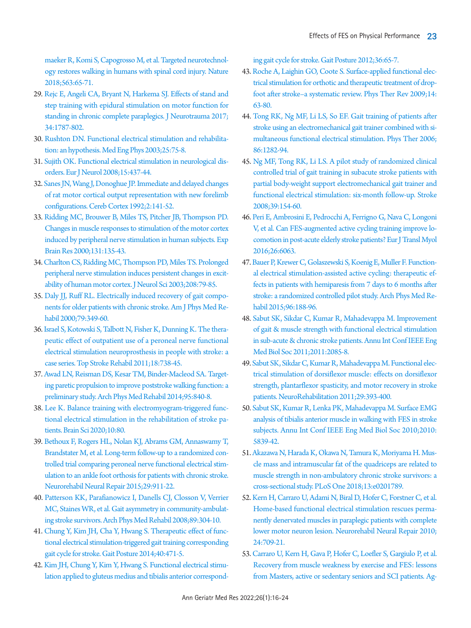[maeker R, Komi S, Capogrosso M, et al. Targeted neurotechnol](https://doi.org/10.1038/s41586-018-0649-2)[ogy restores walking in humans with spinal cord injury. Nature](https://doi.org/10.1038/s41586-018-0649-2)  [2018;563:65-71.](https://doi.org/10.1038/s41586-018-0649-2)

- <span id="page-7-0"></span>2[9. Rejc E, Angeli CA, Bryant N, Harkema SJ. Effects of stand and](https://doi.org/10.1089/neu.2016.4516)  [step training with epidural stimulation on motor function for](https://doi.org/10.1089/neu.2016.4516)  [standing in chronic complete paraplegics. J Neurotrauma 2017;](https://doi.org/10.1089/neu.2016.4516) [34:1787-802](https://doi.org/10.1089/neu.2016.4516).
- 30. [Rushton DN. Functional electrical stimulation and rehabilita](https://doi.org/10.1016/s1350-4533(02)00040-1)[tion: an hypothesis. Med Eng Phys 2003;25:75-8.](https://doi.org/10.1016/s1350-4533(02)00040-1)
- <span id="page-7-1"></span>3[1. Sujith OK. Functional electrical stimulation in neurological dis](https://doi.org/10.1111/j.1468-1331.2008.02127.x)[orders. Eur J Neurol 2008;15:437-44.](https://doi.org/10.1111/j.1468-1331.2008.02127.x)
- <span id="page-7-2"></span>32. Sanes JN[, Wang J, Donoghue JP. Immediate and delayed changes](https://doi.org/10.1093/cercor/2.2.141)  [of rat motor cortical output representation with new forelimb](https://doi.org/10.1093/cercor/2.2.141)  [configurations. Cereb Cortex 1992;2:141-5](https://doi.org/10.1093/cercor/2.2.141)2.
- <span id="page-7-3"></span>3[3. Ridding MC, Brouwer B, Miles TS, Pitcher JB, Thompson PD.](https://doi.org/10.1007/s002219900269)  [Changes in muscle responses to stimulation of the motor cortex](https://doi.org/10.1007/s002219900269)  [induced by peripheral nerve stimulation in human subjects. Exp](https://doi.org/10.1007/s002219900269)  [Brain Res 2000;131:135-43](https://doi.org/10.1007/s002219900269).
- <span id="page-7-4"></span>3[4. Charlton CS, Ridding MC, Thompson PD, Miles TS. Prolonged](https://doi.org/10.1016/s0022-510x(02)00443-4)  [peripheral nerve stimulation induces persistent changes in excit](https://doi.org/10.1016/s0022-510x(02)00443-4)[ability of human motor cortex. J Neurol Sci 2003;208:79-85.](https://doi.org/10.1016/s0022-510x(02)00443-4)
- <span id="page-7-5"></span>3[5. Daly JJ, Ruff RL. Electrically induced recovery of gait compo](https://doi.org/10.1097/00002060-200007000-00006)[nents for older patients with chronic stroke. Am J Phys Med Re](https://doi.org/10.1097/00002060-200007000-00006)[habil 2000;79:349-60.](https://doi.org/10.1097/00002060-200007000-00006)
- <span id="page-7-13"></span>36. [Israel S, Kotowski S, Talbott N, Fisher K, Dunning K. The thera](https://doi.org/10.1310/tsr1806-738)[peutic effect of outpatient use of a peroneal nerve functional](https://doi.org/10.1310/tsr1806-738)  [electrical stimulation neuroprosthesis in people with stroke: a](https://doi.org/10.1310/tsr1806-738)  [case series. Top Stroke Rehabil 2011;18:738-45.](https://doi.org/10.1310/tsr1806-738)
- <span id="page-7-6"></span>3[7. Awad LN, Reisman DS, Kesar TM, Binder-Macleod SA. Target](https://doi.org/10.1016/j.apmr.2013.12.012)[ing paretic propulsion to improve poststroke walking function: a](https://doi.org/10.1016/j.apmr.2013.12.012)  [preliminary study. Arch Phys Med Rehabil 2014;95:840-8.](https://doi.org/10.1016/j.apmr.2013.12.012)
- <span id="page-7-7"></span>38. [Lee K. Balance training with electromyogram-triggered func](https://doi.org/10.3390/brainsci10020080)[tional electrical stimulation in the rehabilitation of stroke pa](https://doi.org/10.3390/brainsci10020080)[tients. Brain Sci 2020;10:80.](https://doi.org/10.3390/brainsci10020080)
- <span id="page-7-8"></span>39. Bethoux [F, Rogers HL, Nolan KJ, Abrams GM, Annaswamy T,](https://doi.org/10.1177/1545968315570325)  [Brandstater M, et al. Long-term follow-up to a randomized con](https://doi.org/10.1177/1545968315570325)[trolled trial comparing peroneal nerve functional electrical stim](https://doi.org/10.1177/1545968315570325)[ulation to an ankle foot orthosis for patients with](https://doi.org/10.1177/1545968315570325) chronic stroke. Neurorehabil Neural Repair 2015;29:911-22.
- <span id="page-7-9"></span>40. [Patterson KK, Parafianowicz I, Danells CJ, Closson V, Verrier](https://doi.org/10.1016/j.apmr.2007.08.142)  [MC, Staines WR, et al. Gait asymmetry in community-ambulat](https://doi.org/10.1016/j.apmr.2007.08.142)[ing stroke survivors. Arch Phys Med Rehabil 2008;89:304-10.](https://doi.org/10.1016/j.apmr.2007.08.142)
- <span id="page-7-10"></span>41. [Chung Y, Kim JH, Cha Y, Hwang S. Therapeutic effect of func](https://doi.org/10.1016/j.gaitpost.2014.06.002)[tional electrical stimulation-triggered gait training corresponding](https://doi.org/10.1016/j.gaitpost.2014.06.002)  [gait cycle for stroke. Gait Posture 2014;40:471-5.](https://doi.org/10.1016/j.gaitpost.2014.06.002)
- 42. [Kim JH, Chung Y, Kim Y, Hwang S. Functional electrical stimu](https://doi.org/10.1016/j.gaitpost.2012.01.006)[lation applied to gluteus medius and tibialis anterior correspond-](https://doi.org/10.1016/j.gaitpost.2012.01.006)

[ing gait cycle for stroke. Gait Posture 2012;36:65-7.](https://doi.org/10.1016/j.gaitpost.2012.01.006)

- <span id="page-7-11"></span>43[. Roche A, Laighin GO, Coote S. Surface-applied functional elec](https://doi.org/10.1179/174328809x405946)[trical stimulation for orthotic and therapeutic treatment of drop](https://doi.org/10.1179/174328809x405946)[foot after stroke–a systematic review. Phys Ther Rev 2009;14:](https://doi.org/10.1179/174328809x405946) [63-80.](https://doi.org/10.1179/174328809x405946)
- <span id="page-7-12"></span>44[. Tong RK, Ng MF, Li LS, So EF. Gait training of patients after](https://doi.org/10.2522/ptj.20050183)  [stroke using an electromechanical gait trainer combined with si](https://doi.org/10.2522/ptj.20050183)[multaneous functional electrical stimulation. Phys Ther 2006;](https://doi.org/10.2522/ptj.20050183) [86:1282-94.](https://doi.org/10.2522/ptj.20050183)
- <span id="page-7-14"></span>45[. Ng MF, Tong RK, Li LS. A pilot study of randomized clinical](https://doi.org/10.1161/strokeaha.107.495705)  [controlled trial of gait training in subacute stroke patients with](https://doi.org/10.1161/strokeaha.107.495705)  [partial body-weight support electromechanical gait trainer and](https://doi.org/10.1161/strokeaha.107.495705)  [functional electrical stimulation: six-month follow](https://doi.org/10.1161/strokeaha.107.495705)-up. Stroke 2008;39:154-60.
- <span id="page-7-17"></span><span id="page-7-15"></span>46[. Peri E, Ambrosini E, Pedrocchi A, Ferrigno G, Nava C, Longoni](https://doi.org/10.4081/ejtm.2016.6063)  [V, et al. Can FES-augmented active cycling training improve lo](https://doi.org/10.4081/ejtm.2016.6063)[comotion in post-acute elderly stroke patients? Eur J Transl Myol](https://doi.org/10.4081/ejtm.2016.6063)  [2016;26:6063](https://doi.org/10.4081/ejtm.2016.6063).
- <span id="page-7-20"></span><span id="page-7-16"></span>47. Bauer P, K[rewer C, Golaszewski S, Koenig E, Muller F. Function](https://doi.org/10.1016/j.apmr.2014.09.033)[al electrical stimulation-assisted active cycling: therapeutic ef](https://doi.org/10.1016/j.apmr.2014.09.033)[fects in patients with hemiparesis from 7 days to 6 months after](https://doi.org/10.1016/j.apmr.2014.09.033)  [stroke: a randomized controlled pilot study. Arch](https://doi.org/10.1016/j.apmr.2014.09.033) Phys Med Rehabil 2015;96:188-96.
- 48. [Sabut SK, Sikdar C, Kumar R, Mahadevappa M. Improvement](https://doi.org/10.1109/iembs.2011.6090387)  [of gait & muscle strength with functional electrical stimulation](https://doi.org/10.1109/iembs.2011.6090387)  [in sub-acute & chronic stroke patients. Annu Int Conf IEEE Eng](https://doi.org/10.1109/iembs.2011.6090387)  [Med Biol Soc 2011;2011:2085-8.](https://doi.org/10.1109/iembs.2011.6090387)
- <span id="page-7-18"></span>49[. Sabut SK, Sikdar C, Kumar R, Mahadevappa M. Functional elec](https://doi.org/10.3233/nre-2011-0717)[trical stimulation of dorsiflexor muscle: effects on dorsiflexor](https://doi.org/10.3233/nre-2011-0717)  [strength, plantarflexor spasticity, and motor recovery in stroke](https://doi.org/10.3233/nre-2011-0717)  [patients. NeuroRehabilitation 2011;29:393-400](https://doi.org/10.3233/nre-2011-0717).
- 50. [Sabut SK, Kumar R, Lenka PK, Mahadevappa M. Surface EMG](https://doi.org/10.1109/iembs.2010.5627503)  [analysis of tibialis anterior muscle in walking with FES in stroke](https://doi.org/10.1109/iembs.2010.5627503)  [subjects. Annu Int Conf IEEE Eng Med Biol Soc 2010;2010:](https://doi.org/10.1109/iembs.2010.5627503) [5839-42.](https://doi.org/10.1109/iembs.2010.5627503)
- <span id="page-7-19"></span>51[. Akazawa N, Harada K, Okawa N, Tamura K, Moriyama H. Mus](https://doi.org/10.1371/journal.pone.0201789)[cle mass and intramuscular fat of the quadriceps are related to](https://doi.org/10.1371/journal.pone.0201789)  [muscle strength in non-ambulatory chronic stroke survivors: a](https://doi.org/10.1371/journal.pone.0201789)  [cross-sectional study. PLoS One](https://doi.org/10.1371/journal.pone.0201789) 2018;13:e0201789.
- <span id="page-7-21"></span>52[. Kern H, Carraro U, Adami N, Biral D, Hofer C, Forstner C, et al.](https://doi.org/10.1177/1545968310366129)  [Home-based functional electrical stimulation rescues perma](https://doi.org/10.1177/1545968310366129)[nently denervated muscles in paraplegic patients with complete](https://doi.org/10.1177/1545968310366129)  [lower motor neuron lesion. Neurorehabil Neura](https://doi.org/10.1177/1545968310366129)l Repair 2010; 24:709-21.
- <span id="page-7-22"></span>53[. Carraro U, Kern H, Gava P, Hofer C, Loefler S, Gargiulo P, et al.](https://doi.org/10.1007/s40520-016-0619-1)  [Recovery from muscle weakness by exercise and FES: lessons](https://doi.org/10.1007/s40520-016-0619-1)  [from Masters, active or sedentary seniors and SCI patients. Ag-](https://doi.org/10.1007/s40520-016-0619-1)